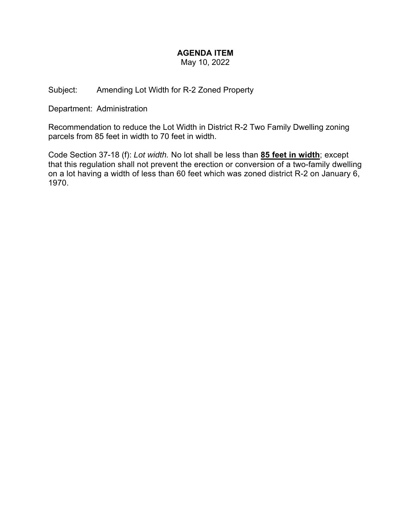## **AGENDA ITEM**

May 10, 2022

Subject: Amending Lot Width for R-2 Zoned Property

Department: Administration

Recommendation to reduce the Lot Width in District R-2 Two Family Dwelling zoning parcels from 85 feet in width to 70 feet in width.

Code Section 37-18 (f): *Lot width.* No lot shall be less than **85 feet in width**; except that this regulation shall not prevent the erection or conversion of a two-family dwelling on a lot having a width of less than 60 feet which was zoned district R-2 on January 6, 1970.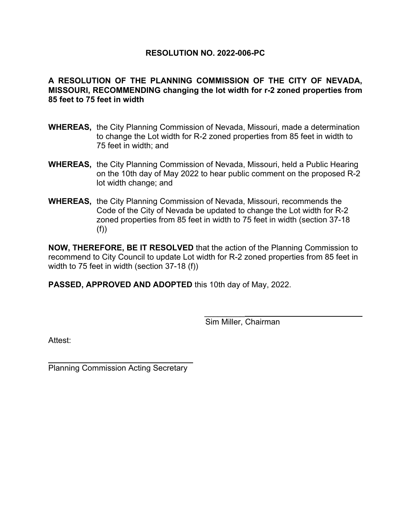## **RESOLUTION NO. 2022-006-PC**

## **A RESOLUTION OF THE PLANNING COMMISSION OF THE CITY OF NEVADA, MISSOURI, RECOMMENDING changing the lot width for r-2 zoned properties from 85 feet to 75 feet in width**

- **WHEREAS,** the City Planning Commission of Nevada, Missouri, made a determination to change the Lot width for R-2 zoned properties from 85 feet in width to 75 feet in width; and
- **WHEREAS,** the City Planning Commission of Nevada, Missouri, held a Public Hearing on the 10th day of May 2022 to hear public comment on the proposed R-2 lot width change; and
- **WHEREAS,** the City Planning Commission of Nevada, Missouri, recommends the Code of the City of Nevada be updated to change the Lot width for R-2 zoned properties from 85 feet in width to 75 feet in width (section 37-18 (f))

**NOW, THEREFORE, BE IT RESOLVED** that the action of the Planning Commission to recommend to City Council to update Lot width for R-2 zoned properties from 85 feet in width to 75 feet in width (section 37-18 (f))

**PASSED, APPROVED AND ADOPTED** this 10th day of May, 2022.

 $\mathcal{L}_\text{max}$  and  $\mathcal{L}_\text{max}$  are the set of the set of the set of the set of the set of the set of the set of the set of the set of the set of the set of the set of the set of the set of the set of the set of the set o

Sim Miller, Chairman

Attest:

 $\overline{a}$ Planning Commission Acting Secretary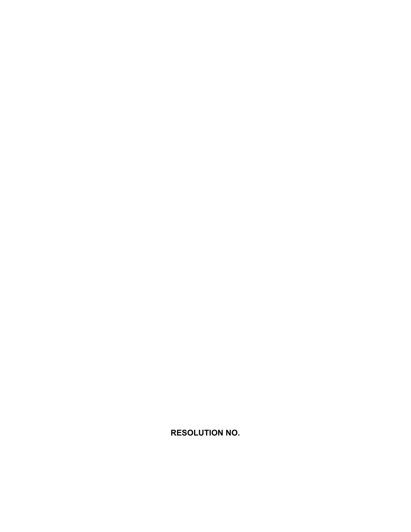**RESOLUTION NO.**